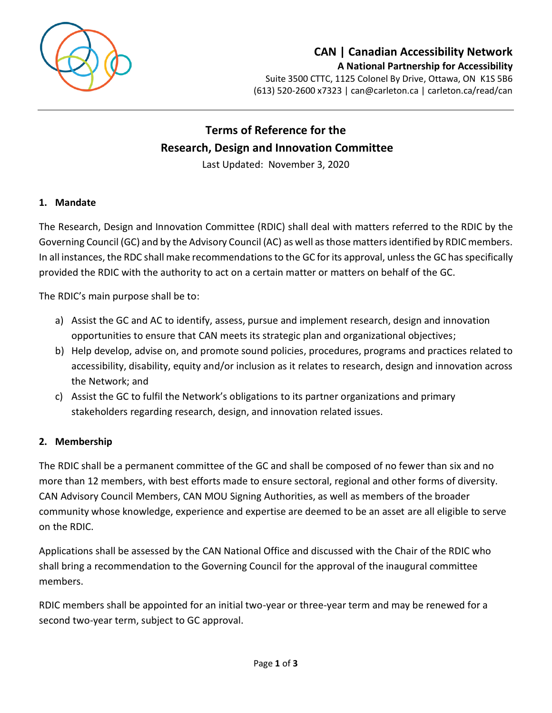

# **CAN | Canadian Accessibility Network A National Partnership for Accessibility**

Suite 3500 CTTC, 1125 Colonel By Drive, Ottawa, ON K1S 5B6 (613) 520-2600 x7323 | [can@carleton.ca](mailto:can@carleton.ca) | carleton.ca/read/can

# **Terms of Reference for the Research, Design and Innovation Committee**

Last Updated: November 3, 2020

#### **1. Mandate**

The Research, Design and Innovation Committee (RDIC) shall deal with matters referred to the RDIC by the Governing Council (GC) and by the Advisory Council (AC) as well as those matters identified by RDIC members. In all instances, the RDC shall make recommendations to the GC for its approval, unless the GC has specifically provided the RDIC with the authority to act on a certain matter or matters on behalf of the GC.

The RDIC's main purpose shall be to:

- a) Assist the GC and AC to identify, assess, pursue and implement research, design and innovation opportunities to ensure that CAN meets its strategic plan and organizational objectives;
- b) Help develop, advise on, and promote sound policies, procedures, programs and practices related to accessibility, disability, equity and/or inclusion as it relates to research, design and innovation across the Network; and
- c) Assist the GC to fulfil the Network's obligations to its partner organizations and primary stakeholders regarding research, design, and innovation related issues.

#### **2. Membership**

The RDIC shall be a permanent committee of the GC and shall be composed of no fewer than six and no more than 12 members, with best efforts made to ensure sectoral, regional and other forms of diversity. CAN Advisory Council Members, CAN MOU Signing Authorities, as well as members of the broader community whose knowledge, experience and expertise are deemed to be an asset are all eligible to serve on the RDIC.

Applications shall be assessed by the CAN National Office and discussed with the Chair of the RDIC who shall bring a recommendation to the Governing Council for the approval of the inaugural committee members.

RDIC members shall be appointed for an initial two-year or three-year term and may be renewed for a second two-year term, subject to GC approval.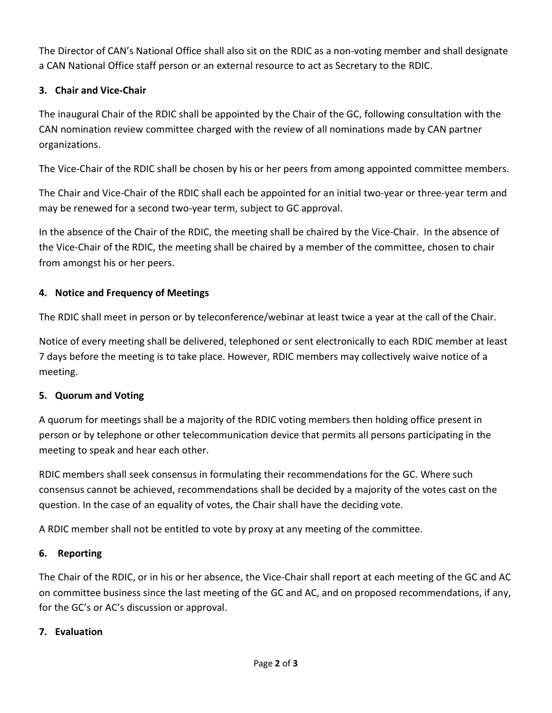The Director of CAN's National Office shall also sit on the RDIC as a non-voting member and shall designate a CAN National Office staff person or an external resource to act as Secretary to the RDIC.

# **3. Chair and Vice-Chair**

The inaugural Chair of the RDIC shall be appointed by the Chair of the GC, following consultation with the CAN nomination review committee charged with the review of all nominations made by CAN partner organizations.

The Vice-Chair of the RDIC shall be chosen by his or her peers from among appointed committee members.

The Chair and Vice-Chair of the RDIC shall each be appointed for an initial two-year or three-year term and may be renewed for a second two-year term, subject to GC approval.

In the absence of the Chair of the RDIC, the meeting shall be chaired by the Vice-Chair. In the absence of the Vice-Chair of the RDIC, the meeting shall be chaired by a member of the committee, chosen to chair from amongst his or her peers.

# **4. Notice and Frequency of Meetings**

The RDIC shall meet in person or by teleconference/webinar at least twice a year at the call of the Chair.

Notice of every meeting shall be delivered, telephoned or sent electronically to each RDIC member at least 7 days before the meeting is to take place. However, RDIC members may collectively waive notice of a meeting.

# **5. Quorum and Voting**

A quorum for meetings shall be a majority of the RDIC voting members then holding office present in person or by telephone or other telecommunication device that permits all persons participating in the meeting to speak and hear each other.

RDIC members shall seek consensus in formulating their recommendations for the GC. Where such consensus cannot be achieved, recommendations shall be decided by a majority of the votes cast on the question. In the case of an equality of votes, the Chair shall have the deciding vote.

A RDIC member shall not be entitled to vote by proxy at any meeting of the committee.

# **6. Reporting**

The Chair of the RDIC, or in his or her absence, the Vice-Chair shall report at each meeting of the GC and AC on committee business since the last meeting of the GC and AC, and on proposed recommendations, if any, for the GC's or AC's discussion or approval.

# **7. Evaluation**